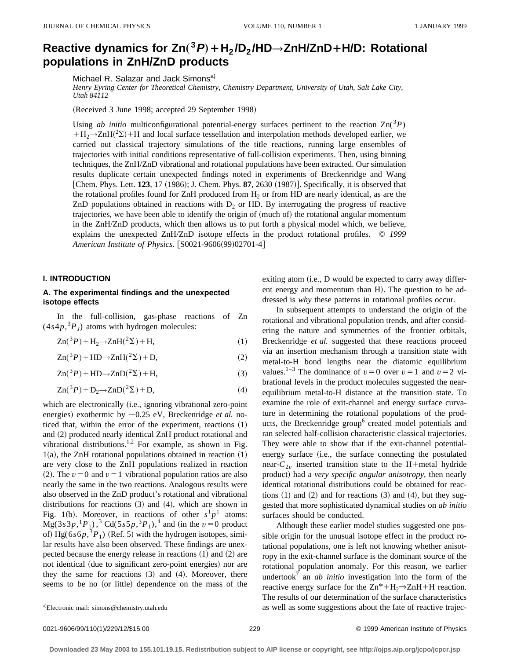# Reactive dynamics for  $\text{Zn}(^{3}P) + \text{H}_{2}/\text{D}_{2}/\text{HD}\rightarrow \text{ZnH/ZnD} + \text{H/D}:$  Rotational **populations in ZnH/ZnD products**

Michael R. Salazar and Jack Simons<sup>a)</sup>

*Henry Eyring Center for Theoretical Chemistry, Chemistry Department, University of Utah, Salt Lake City, Utah 84112*

(Received 3 June 1998; accepted 29 September 1998)

Using *ab initio* multiconfigurational potential-energy surfaces pertinent to the reaction  $\text{Zn}(3P)$  $+ H_2 \rightarrow ZnH(^2\Sigma) + H$  and local surface tessellation and interpolation methods developed earlier, we carried out classical trajectory simulations of the title reactions, running large ensembles of trajectories with initial conditions representative of full-collision experiments. Then, using binning techniques, the ZnH/ZnD vibrational and rotational populations have been extracted. Our simulation results duplicate certain unexpected findings noted in experiments of Breckenridge and Wang [Chem. Phys. Lett.  $123$ ,  $17$   $(1986)$ ; J. Chem. Phys.  $87$ ,  $2630$   $(1987)$ ]. Specifically, it is observed that the rotational profiles found for ZnH produced from  $H_2$  or from HD are nearly identical, as are the ZnD populations obtained in reactions with  $D<sub>2</sub>$  or HD. By interrogating the progress of reactive trajectories, we have been able to identify the origin of (much of) the rotational angular momentum in the ZnH/ZnD products, which then allows us to put forth a physical model which, we believe, explains the unexpected ZnH/ZnD isotope effects in the product rotational profiles. © *1999 American Institute of Physics.* [S0021-9606(99)02701-4]

#### **I. INTRODUCTION**

## **A. The experimental findings and the unexpected isotope effects**

In the full-collision, gas-phase reactions of Zn  $(4s4p, {}^{3}P_J)$  atoms with hydrogen molecules:

$$
Zn(^3P) + H_2 \rightarrow ZnH(^2\Sigma) + H,
$$
\n(1)

 $Zn({}^3P) + HD{\to}ZnH({}^2\Sigma) + D,$  (2)

 $\text{Zn}(^{3}P) + \text{HD} \rightarrow \text{ZnD}(^{2}\Sigma) + \text{H},$  (3)

$$
Zn({}^3P) + D_2 \rightarrow ZnD({}^2\Sigma) + D,\tag{4}
$$

which are electronically (i.e., ignoring vibrational zero-point energies) exothermic by  $\sim$ 0.25 eV, Breckenridge *et al.* noticed that, within the error of the experiment, reactions  $(1)$ and (2) produced nearly identical ZnH product rotational and vibrational distributions.1,2 For example, as shown in Fig. 1(a), the ZnH rotational populations obtained in reaction  $(1)$ are very close to the ZnH populations realized in reaction (2). The  $v=0$  and  $v=1$  vibrational population ratios are also nearly the same in the two reactions. Analogous results were also observed in the ZnD product's rotational and vibrational distributions for reactions  $(3)$  and  $(4)$ , which are shown in Fig. 1(b). Moreover, in reactions of other  $s^1p^1$  atoms:  $Mg(3s3p, {}^{1}P_{1})$ ,<sup>3</sup> Cd(5s5p,<sup>3</sup>P<sub>1</sub>),<sup>4</sup> and (in the  $v=0$  product of)  $Hg(6s6p, ^3P_1)$  (Ref. 5) with the hydrogen isotopes, similar results have also been observed. These findings are unexpected because the energy release in reactions  $(1)$  and  $(2)$  are not identical (due to significant zero-point energies) nor are they the same for reactions  $(3)$  and  $(4)$ . Moreover, there seems to be no (or little) dependence on the mass of the exiting atom  $(i.e., D$  would be expected to carry away different energy and momentum than H). The question to be addressed is *why* these patterns in rotational profiles occur.

In subsequent attempts to understand the origin of the rotational and vibrational population trends, and after considering the nature and symmetries of the frontier orbitals, Breckenridge *et al.* suggested that these reactions proceed via an insertion mechanism through a transition state with metal-to-H bond lengths near the diatomic equilibrium values.<sup>1-3</sup> The dominance of  $v=0$  over  $v=1$  and  $v=2$  vibrational levels in the product molecules suggested the nearequilibrium metal-to-H distance at the transition state. To examine the role of exit-channel and energy surface curvature in determining the rotational populations of the products, the Breckenridge group<sup>6</sup> created model potentials and ran selected half-collision characteristic classical trajectories. They were able to show that if the exit-channel potentialenergy surface (i.e., the surface connecting the postulated near- $C_{2v}$  inserted transition state to the H+metal hydride product) had a *very specific angular anisotropy*, then nearly identical rotational distributions could be obtained for reactions  $(1)$  and  $(2)$  and for reactions  $(3)$  and  $(4)$ , but they suggested that more sophisticated dynamical studies on *ab initio* surfaces should be conducted.

Although these earlier model studies suggested one possible origin for the unusual isotope effect in the product rotational populations, one is left not knowing whether anisotropy in the exit-channel surface is the dominant source of the rotational population anomaly. For this reason, we earlier undertook<sup>7</sup> an  $ab$  *initio* investigation into the form of the reactive energy surface for the  $\text{Zn}^*+\text{H}_2\Rightarrow\text{ZnH}+\text{H}$  reaction. The results of our determination of the surface characteristics as well as some suggestions about the fate of reactive trajec-

Electronic mail: simons@chemistry.utah.edu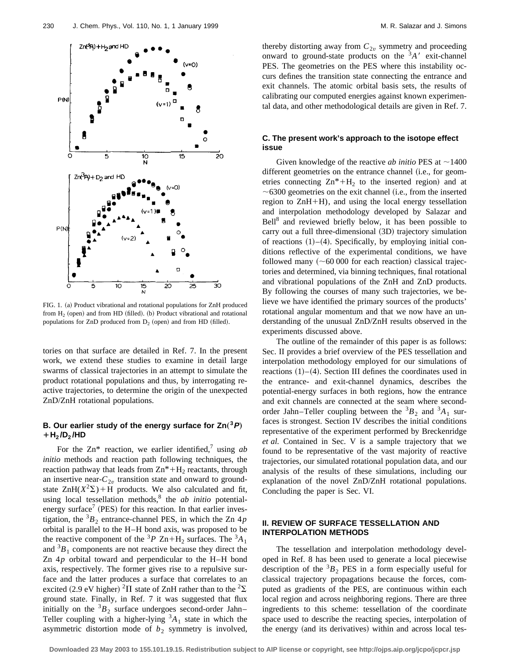

FIG. 1. (a) Product vibrational and rotational populations for ZnH produced from  $H<sub>2</sub>$  (open) and from HD (filled). (b) Product vibrational and rotational populations for ZnD produced from  $D_2$  (open) and from HD (filled).

tories on that surface are detailed in Ref. 7. In the present work, we extend these studies to examine in detail large swarms of classical trajectories in an attempt to simulate the product rotational populations and thus, by interrogating reactive trajectories, to determine the origin of the unexpected ZnD/ZnH rotational populations.

# **B.** Our earlier study of the energy surface for  $\text{Zn}(^{3}P)$  $+ H_2/D_2 / HD$

For the  $\text{Zn}^*$  reaction, we earlier identified,<sup>7</sup> using *ab initio* methods and reaction path following techniques, the reaction pathway that leads from  $\text{Zn}^*+\text{H}_2$  reactants, through an insertive near- $C_{2v}$  transition state and onward to groundstate  $\text{ZnH}(X^2\Sigma) + H$  products. We also calculated and fit, using local tessellation methods,<sup>8</sup> the *ab initio* potentialenergy surface<sup>7</sup> (PES) for this reaction. In that earlier investigation, the  ${}^{3}B_2$  entrance-channel PES, in which the Zn  $4p$ orbital is parallel to the H–H bond axis, was proposed to be the reactive component of the <sup>3</sup>P Zn+H<sub>2</sub> surfaces. The <sup>3</sup>A<sub>1</sub> and  ${}^{3}B_{1}$  components are not reactive because they direct the Zn 4*p* orbital toward and perpendicular to the H–H bond axis, respectively. The former gives rise to a repulsive surface and the latter produces a surface that correlates to an excited (2.9 eV higher) <sup>2</sup> $\Pi$  state of ZnH rather than to the <sup>2</sup> $\Sigma$ ground state. Finally, in Ref. 7 it was suggested that flux initially on the  ${}^{3}B_2$  surface undergoes second-order Jahn– Teller coupling with a higher-lying  ${}^{3}A_{1}$  state in which the asymmetric distortion mode of  $b_2$  symmetry is involved, thereby distorting away from  $C_{2v}$  symmetry and proceeding onward to ground-state products on the  $3A'$  exit-channel PES. The geometries on the PES where this instability occurs defines the transition state connecting the entrance and exit channels. The atomic orbital basis sets, the results of calibrating our computed energies against known experimental data, and other methodological details are given in Ref. 7.

# **C. The present work's approach to the isotope effect issue**

Given knowledge of the reactive *ab initio* PES at  $\sim$ 1400 different geometries on the entrance channel (i.e., for geometries connecting  $\text{Zn}^*+\text{H}_2$  to the inserted region) and at  $\sim$  6300 geometries on the exit channel (i.e., from the inserted region to  $ZnH+H$ ), and using the local energy tessellation and interpolation methodology developed by Salazar and  $Bell^8$  and reviewed briefly below, it has been possible to carry out a full three-dimensional (3D) trajectory simulation of reactions  $(1)$ – $(4)$ . Specifically, by employing initial conditions reflective of the experimental conditions, we have followed many  $({\sim}60\,000$  for each reaction) classical trajectories and determined, via binning techniques, final rotational and vibrational populations of the ZnH and ZnD products. By following the courses of many such trajectories, we believe we have identified the primary sources of the products' rotational angular momentum and that we now have an understanding of the unusual ZnD/ZnH results observed in the experiments discussed above.

The outline of the remainder of this paper is as follows: Sec. II provides a brief overview of the PES tessellation and interpolation methodology employed for our simulations of reactions  $(1)$ – $(4)$ . Section III defines the coordinates used in the entrance- and exit-channel dynamics, describes the potential-energy surfaces in both regions, how the entrance and exit channels are connected at the seam where secondorder Jahn–Teller coupling between the  ${}^{3}B_{2}$  and  ${}^{3}A_{1}$  surfaces is strongest. Section IV describes the initial conditions representative of the experiment performed by Breckenridge *et al.* Contained in Sec. V is a sample trajectory that we found to be representative of the vast majority of reactive trajectories, our simulated rotational population data, and our analysis of the results of these simulations, including our explanation of the novel ZnD/ZnH rotational populations. Concluding the paper is Sec. VI.

### **II. REVIEW OF SURFACE TESSELLATION AND INTERPOLATION METHODS**

The tessellation and interpolation methodology developed in Ref. 8 has been used to generate a local piecewise description of the  ${}^{3}B_2$  PES in a form especially useful for classical trajectory propagations because the forces, computed as gradients of the PES, are continuous within each local region and across neighboring regions. There are three ingredients to this scheme: tessellation of the coordinate space used to describe the reacting species, interpolation of the energy (and its derivatives) within and across local tes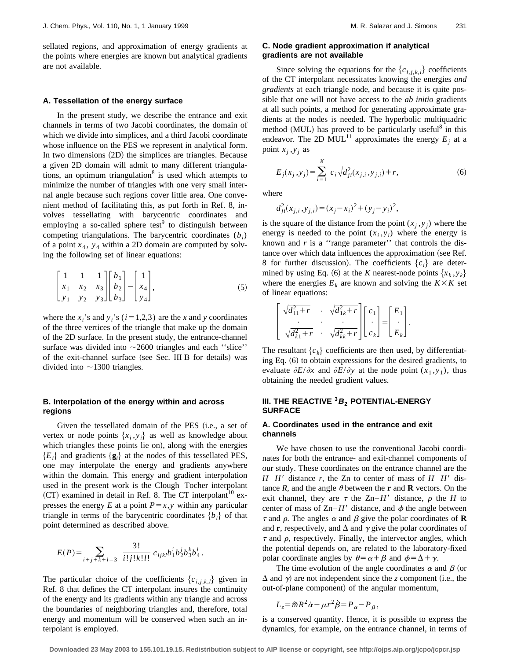sellated regions, and approximation of energy gradients at the points where energies are known but analytical gradients are not available.

#### **A. Tessellation of the energy surface**

In the present study, we describe the entrance and exit channels in terms of two Jacobi coordinates, the domain of which we divide into simplices, and a third Jacobi coordinate whose influence on the PES we represent in analytical form. In two dimensions  $(2D)$  the simplices are triangles. Because a given 2D domain will admit to many different triangulations, an optimum triangulation $8$  is used which attempts to minimize the number of triangles with one very small internal angle because such regions cover little area. One convenient method of facilitating this, as put forth in Ref. 8, involves tessellating with barycentric coordinates and employing a so-called sphere test<sup>9</sup> to distinguish between competing triangulations. The barycentric coordinates (*bi*) of a point  $x_4$ ,  $y_4$  within a 2D domain are computed by solving the following set of linear equations:

$$
\begin{bmatrix} 1 & 1 & 1 \ x_1 & x_2 & x_3 \ y_1 & y_2 & y_3 \end{bmatrix} \begin{bmatrix} b_1 \ b_2 \ b_3 \end{bmatrix} = \begin{bmatrix} 1 \ x_4 \ y_4 \end{bmatrix},
$$
 (5)

where the  $x_i$ 's and  $y_i$ 's ( $i=1,2,3$ ) are the *x* and *y* coordinates of the three vertices of the triangle that make up the domain of the 2D surface. In the present study, the entrance-channel surface was divided into  $\sim$ 2600 triangles and each "slice" of the exit-channel surface (see Sec. III B for details) was divided into  $\sim$ 1300 triangles.

# **B. Interpolation of the energy within and across regions**

Given the tessellated domain of the PES (i.e., a set of vertex or node points  $\{x_i, y_i\}$  as well as knowledge about which triangles these points lie on), along with the energies  ${E_i}$  and gradients  ${g_i}$  at the nodes of this tessellated PES, one may interpolate the energy and gradients anywhere within the domain. This energy and gradient interpolation used in the present work is the Clough–Tocher interpolant  $(CT)$  examined in detail in Ref. 8. The CT interpolant<sup>10</sup> expresses the energy *E* at a point  $P=x, y$  within any particular triangle in terms of the barycentric coordinates  ${b_i}$  of that point determined as described above.

$$
E(P) = \sum_{i+j+k+l=3} \frac{3!}{i!j!k!l!} c_{ijkl} b_1^i b_2^j b_3^k b_4^l.
$$

The particular choice of the coefficients  ${c_{i,i,k,l}}$  given in Ref. 8 that defines the CT interpolant insures the continuity of the energy and its gradients within any triangle and across the boundaries of neighboring triangles and, therefore, total energy and momentum will be conserved when such an interpolant is employed.

# **C. Node gradient approximation if analytical gradients are not available**

Since solving the equations for the  ${c_{i,i,k,l}}$  coefficients of the CT interpolant necessitates knowing the energies *and gradients* at each triangle node, and because it is quite possible that one will not have access to the *ab initio* gradients at all such points, a method for generating approximate gradients at the nodes is needed. The hyperbolic multiquadric method  $(MUL)$  has proved to be particularly useful<sup>8</sup> in this endeavor. The 2D MUL<sup>11</sup> approximates the energy  $E_i$  at a point  $x_i, y_i$  as

$$
E_j(x_j, y_j) = \sum_{i=1}^K c_i \sqrt{d_{ji}^2(x_{j,i}, y_{j,i}) + r},
$$
\n(6)

where

$$
d_{ji}^{2}(x_{j,i}, y_{j,i}) = (x_{j} - x_{i})^{2} + (y_{j} - y_{i})^{2},
$$

is the square of the distance from the point  $(x_i, y_j)$  where the energy is needed to the point  $(x_i, y_i)$  where the energy is known and  $r$  is a "range parameter" that controls the distance over which data influences the approximation (see Ref. 8 for further discussion). The coefficients  ${c_i}$  are determined by using Eq. (6) at the *K* nearest-node points  $\{x_k, y_k\}$ where the energies  $E_k$  are known and solving the  $K \times K$  set of linear equations:

$$
\begin{bmatrix}\n\sqrt{d_{11}^2 + r} & \sqrt{d_{1k}^2 + r} \\
\vdots & \ddots & \vdots \\
\sqrt{d_{k1}^2 + r} & \sqrt{d_{k1}^2 + r}\n\end{bmatrix}\n\begin{bmatrix}\nc_1 \\
\vdots \\
c_k\n\end{bmatrix}\n=\n\begin{bmatrix}\nE_1 \\
\vdots \\
E_k\n\end{bmatrix}.
$$

The resultant  ${c_k}$  coefficients are then used, by differentiating Eq.  $(6)$  to obtain expressions for the desired gradients, to evaluate  $\partial E/\partial x$  and  $\partial E/\partial y$  at the node point  $(x_1, y_1)$ , thus obtaining the needed gradient values.

# **III. THE REACTIVE <sup>3</sup>B<sup>2</sup> POTENTIAL-ENERGY SURFACE**

## **A. Coordinates used in the entrance and exit channels**

We have chosen to use the conventional Jacobi coordinates for both the entrance- and exit-channel components of our study. These coordinates on the entrance channel are the  $H - H'$  distance *r*, the Zn to center of mass of  $H - H'$  distance *R*, and the angle  $\theta$  between the **r** and **R** vectors. On the exit channel, they are  $\tau$  the Zn–*H'* distance,  $\rho$  the *H* to center of mass of  $\text{Zn}-H'$  distance, and  $\phi$  the angle between  $\tau$  and  $\rho$ . The angles  $\alpha$  and  $\beta$  give the polar coordinates of **R** and **r**, respectively, and  $\Delta$  and  $\gamma$  give the polar coordinates of  $\tau$  and  $\rho$ , respectively. Finally, the intervector angles, which the potential depends on, are related to the laboratory-fixed polar coordinate angles by  $\theta = \alpha + \beta$  and  $\phi = \Delta + \gamma$ .

The time evolution of the angle coordinates  $\alpha$  and  $\beta$  (or  $\Delta$  and  $\gamma$ ) are not independent since the *z* component (i.e., the out-of-plane component) of the angular momentum,

$$
L_z = \tilde{m}R^2\dot{\alpha} - \mu r^2 \dot{\beta} = P_\alpha - P_\beta,
$$

is a conserved quantity. Hence, it is possible to express the dynamics, for example, on the entrance channel, in terms of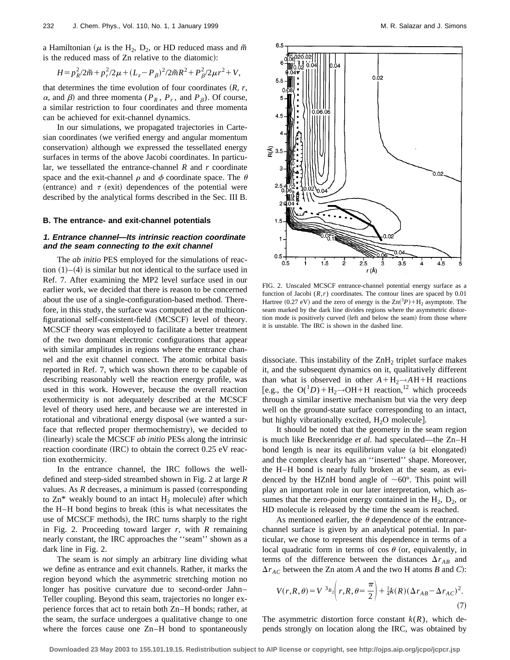a Hamiltonian ( $\mu$  is the H<sub>2</sub>, D<sub>2</sub>, or HD reduced mass and  $\tilde{m}$ is the reduced mass of Zn relative to the diatomic):

$$
H = p_R^2 / 2\tilde{m} + p_r^2 / 2\mu + (L_z - P_\beta)^2 / 2\tilde{m}R^2 + P_\beta^2 / 2\mu r^2 + V,
$$

that determines the time evolution of four coordinates  $(R, r, )$  $\alpha$ , and  $\beta$ ) and three momenta ( $P_R$ ,  $P_r$ , and  $P_\beta$ ). Of course, a similar restriction to four coordinates and three momenta can be achieved for exit-channel dynamics.

In our simulations, we propagated trajectories in Cartesian coordinates (we verified energy and angular momentum conservation) although we expressed the tessellated energy surfaces in terms of the above Jacobi coordinates. In particular, we tessellated the entrance-channel *R* and *r* coordinate space and the exit-channel  $\rho$  and  $\phi$  coordinate space. The  $\theta$ (entrance) and  $\tau$  (exit) dependences of the potential were described by the analytical forms described in the Sec. III B.

#### **B. The entrance- and exit-channel potentials**

#### **1. Entrance channel—Its intrinsic reaction coordinate and the seam connecting to the exit channel**

The *ab initio* PES employed for the simulations of reaction  $(1)$ – $(4)$  is similar but not identical to the surface used in Ref. 7. After examining the MP2 level surface used in our earlier work, we decided that there is reason to be concerned about the use of a single-configuration-based method. Therefore, in this study, the surface was computed at the multiconfigurational self-consistent-field (MCSCF) level of theory. MCSCF theory was employed to facilitate a better treatment of the two dominant electronic configurations that appear with similar amplitudes in regions where the entrance channel and the exit channel connect. The atomic orbital basis reported in Ref. 7, which was shown there to be capable of describing reasonably well the reaction energy profile, was used in this work. However, because the overall reaction exothermicity is not adequately described at the MCSCF level of theory used here, and because we are interested in rotational and vibrational energy disposal (we wanted a surface that reflected proper thermochemistry), we decided to (linearly) scale the MCSCF *ab initio* PESs along the intrinsic reaction coordinate  $(IRC)$  to obtain the correct  $0.25$  eV reaction exothermicity.

In the entrance channel, the IRC follows the welldefined and steep-sided streambed shown in Fig. 2 at large *R* values. As  $R$  decreases, a minimum is passed (corresponding to  $\text{Zn}^*$  weakly bound to an intact  $H_2$  molecule) after which the  $H$ – $H$  bond begins to break (this is what necessitates the use of MCSCF methods), the IRC turns sharply to the right in Fig. 2. Proceeding toward larger *r*, with *R* remaining nearly constant, the IRC approaches the ''seam'' shown as a dark line in Fig. 2.

The seam is *not* simply an arbitrary line dividing what we define as entrance and exit channels. Rather, it marks the region beyond which the asymmetric stretching motion no longer has positive curvature due to second-order Jahn– Teller coupling. Beyond this seam, trajectories no longer experience forces that act to retain both Zn–H bonds; rather, at the seam, the surface undergoes a qualitative change to one where the forces cause one Zn–H bond to spontaneously



FIG. 2. Unscaled MCSCF entrance-channel potential energy surface as a function of Jacobi  $(R,r)$  coordinates. The contour lines are spaced by 0.01 Hartree (0.27 eV) and the zero of energy is the  $\text{Zn}(^{3}P) + \text{H}_{2}$  asymptote. The seam marked by the dark line divides regions where the asymmetric distortion mode is positively curved (left and below the seam) from those where it is unstable. The IRC is shown in the dashed line.

dissociate. This instability of the  $ZnH<sub>2</sub>$  triplet surface makes it, and the subsequent dynamics on it, qualitatively different than what is observed in other  $A + H_2 \rightarrow AH + H$  reactions [e.g., the  $O(^1D) + H_2 \rightarrow OH + H$  reaction,<sup>12</sup> which proceeds through a similar insertive mechanism but via the very deep well on the ground-state surface corresponding to an intact, but highly vibrationally excited,  $H_2O$  molecule.

It should be noted that the geometry in the seam region is much like Breckenridge *et al.* had speculated—the Zn–H bond length is near its equilibrium value (a bit elongated) and the complex clearly has an ''inserted'' shape. Moreover, the H–H bond is nearly fully broken at the seam, as evidenced by the HZnH bond angle of  $\sim 60^{\circ}$ . This point will play an important role in our later interpretation, which assumes that the zero-point energy contained in the  $H_2$ ,  $D_2$ , or HD molecule is released by the time the seam is reached.

As mentioned earlier, the  $\theta$  dependence of the entrancechannel surface is given by an analytical potential. In particular, we chose to represent this dependence in terms of a local quadratic form in terms of cos  $\theta$  (or, equivalently, in terms of the difference between the distances  $\Delta r_{AB}$  and  $\Delta r_{AC}$  between the Zn atom *A* and the two H atoms *B* and *C*):

$$
V(r, R, \theta) = V^{3_{B_2}} \left( r, R, \theta = \frac{\pi}{2} \right) + \frac{1}{4} k(R) (\Delta r_{AB} - \Delta r_{AC})^2.
$$
\n(7)

The asymmetric distortion force constant  $k(R)$ , which depends strongly on location along the IRC, was obtained by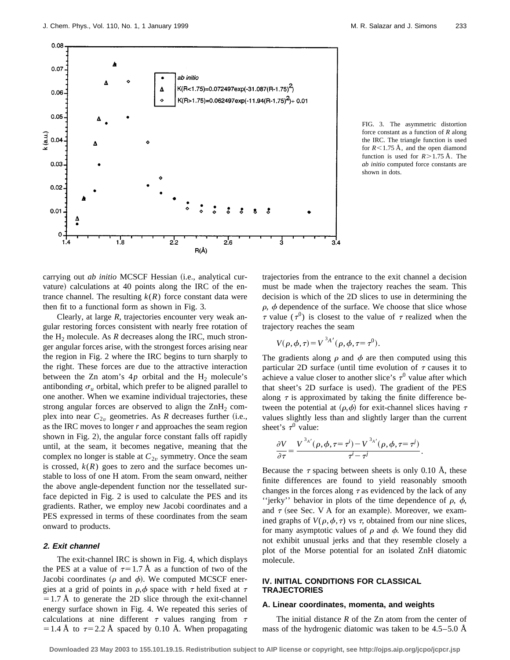

FIG. 3. The asymmetric distortion force constant as a function of *R* along the IRC. The triangle function is used for  $R<1.75$  Å, and the open diamond function is used for  $R > 1.75$  Å. The *ab initio* computed force constants are shown in dots.

carrying out *ab initio* MCSCF Hessian (i.e., analytical curvature) calculations at 40 points along the IRC of the entrance channel. The resulting  $k(R)$  force constant data were then fit to a functional form as shown in Fig. 3.

Clearly, at large *R*, trajectories encounter very weak angular restoring forces consistent with nearly free rotation of the  $H_2$  molecule. As *R* decreases along the IRC, much stronger angular forces arise, with the strongest forces arising near the region in Fig. 2 where the IRC begins to turn sharply to the right. These forces are due to the attractive interaction between the Zn atom's  $4p$  orbital and the H<sub>2</sub> molecule's antibonding  $\sigma_u$  orbital, which prefer to be aligned parallel to one another. When we examine individual trajectories, these strong angular forces are observed to align the  $\text{ZnH}_2$  complex into near  $C_{2v}$  geometries. As *R* decreases further (i.e., as the IRC moves to longer *r* and approaches the seam region shown in Fig. 2), the angular force constant falls off rapidly until, at the seam, it becomes negative, meaning that the complex no longer is stable at  $C_{2v}$  symmetry. Once the seam is crossed,  $k(R)$  goes to zero and the surface becomes unstable to loss of one H atom. From the seam onward, neither the above angle-dependent function nor the tessellated surface depicted in Fig. 2 is used to calculate the PES and its gradients. Rather, we employ new Jacobi coordinates and a PES expressed in terms of these coordinates from the seam onward to products.

# **2. Exit channel**

The exit-channel IRC is shown in Fig. 4, which displays the PES at a value of  $\tau=1.7$  Å as a function of two of the Jacobi coordinates ( $\rho$  and  $\phi$ ). We computed MCSCF energies at a grid of points in  $\rho, \phi$  space with  $\tau$  held fixed at  $\tau$  $=1.7$  Å to generate the 2D slice through the exit-channel energy surface shown in Fig. 4. We repeated this series of calculations at nine different  $\tau$  values ranging from  $\tau$ = 1.4 Å to  $\tau$ = 2.2 Å spaced by 0.10 Å. When propagating trajectories from the entrance to the exit channel a decision must be made when the trajectory reaches the seam. This decision is which of the 2D slices to use in determining the  $\rho$ ,  $\phi$  dependence of the surface. We choose that slice whose  $\tau$  value ( $\tau^{0}$ ) is closest to the value of  $\tau$  realized when the trajectory reaches the seam

$$
V(\rho, \phi, \tau) = V^{3A'}(\rho, \phi, \tau = \tau^0).
$$

The gradients along  $\rho$  and  $\phi$  are then computed using this particular 2D surface (until time evolution of  $\tau$  causes it to achieve a value closer to another slice's  $\tau^0$  value after which that sheet's 2D surface is used). The gradient of the PES along  $\tau$  is approximated by taking the finite difference between the potential at  $(\rho, \phi)$  for exit-channel slices having  $\tau$ values slightly less than and slightly larger than the current sheet's  $\tau^0$  value:

$$
\frac{\partial V}{\partial \tau} = \frac{V^{3_A'}(\rho, \phi, \tau = \tau^i) - V^{3_A'}(\rho, \phi, \tau = \tau^i)}{\tau^i - \tau^i}.
$$

Because the  $\tau$  spacing between sheets is only 0.10 Å, these finite differences are found to yield reasonably smooth changes in the forces along  $\tau$  as evidenced by the lack of any "ierky" behavior in plots of the time dependence of  $\rho$ ,  $\phi$ , and  $\tau$  (see Sec. V A for an example). Moreover, we examined graphs of  $V(\rho, \phi, \tau)$  vs  $\tau$ , obtained from our nine slices, for many asymptotic values of  $\rho$  and  $\phi$ . We found they did not exhibit unusual jerks and that they resemble closely a plot of the Morse potential for an isolated ZnH diatomic molecule.

# **IV. INITIAL CONDITIONS FOR CLASSICAL TRAJECTORIES**

#### **A. Linear coordinates, momenta, and weights**

The initial distance *R* of the Zn atom from the center of mass of the hydrogenic diatomic was taken to be 4.5–5.0 Å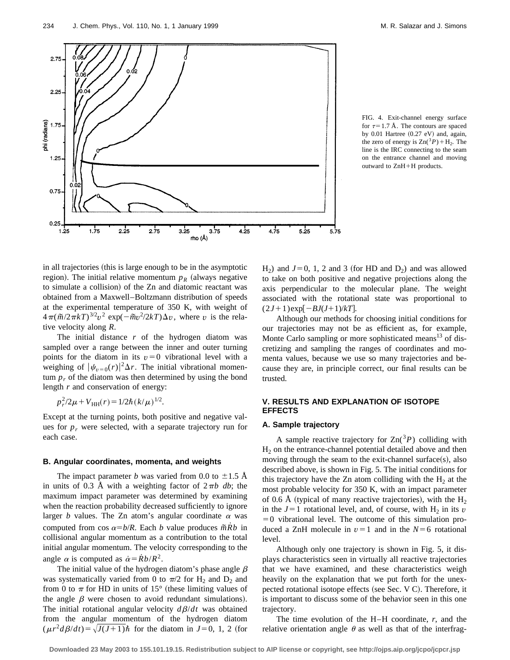

FIG. 4. Exit-channel energy surface for  $\tau=1.7$  Å. The contours are spaced by  $0.01$  Hartree  $(0.27$  eV) and, again, the zero of energy is  $\text{Zn}(^{3}P)+\text{H}_{2}$ . The line is the IRC connecting to the seam on the entrance channel and moving outward to ZnH+H products.

in all trajectories (this is large enough to be in the asymptotic region). The initial relative momentum  $p<sub>R</sub>$  (always negative to simulate a collision) of the Zn and diatomic reactant was obtained from a Maxwell–Boltzmann distribution of speeds at the experimental temperature of 350 K, with weight of  $4\pi(\tilde{m}/2\pi kT)^{3/2}v^2 \exp(-\tilde{m}v^2/2kT)\Delta v$ , where *v* is the relative velocity along *R*.

The initial distance *r* of the hydrogen diatom was sampled over a range between the inner and outer turning points for the diatom in its  $v=0$  vibrational level with a weighing of  $|\psi_{v=0}(r)|^2 \Delta r$ . The initial vibrational momentum  $p_r$  of the diatom was then determined by using the bond length *r* and conservation of energy:

$$
p_r^2/2\mu + V_{\text{HH}}(r) = 1/2\hbar (k/\mu)^{1/2}.
$$

Except at the turning points, both positive and negative values for  $p_r$  were selected, with a separate trajectory run for each case.

#### **B. Angular coordinates, momenta, and weights**

The impact parameter *b* was varied from 0.0 to  $\pm 1.5$  Å in units of 0.3 Å with a weighting factor of  $2\pi b$  db; the maximum impact parameter was determined by examining when the reaction probability decreased sufficiently to ignore larger *b* values. The Zn atom's angular coordinate  $\alpha$  was computed from cos  $\alpha = b/R$ . Each *b* value produces  $\tilde{m} \dot{R} b$  in collisional angular momentum as a contribution to the total initial angular momentum. The velocity corresponding to the angle  $\alpha$  is computed as  $\dot{\alpha} = \dot{R}b/R^2$ .

The initial value of the hydrogen diatom's phase angle  $\beta$ was systematically varied from 0 to  $\pi/2$  for H<sub>2</sub> and D<sub>2</sub> and from 0 to  $\pi$  for HD in units of 15° (these limiting values of the angle  $\beta$  were chosen to avoid redundant simulations). The initial rotational angular velocity  $d\beta/dt$  was obtained from the angular momentum of the hydrogen diatom  $(\mu r^2 d\beta/dt) = \sqrt{J(J+1)}\hbar$  for the diatom in  $J=0, 1, 2$  (for H<sub>2</sub>) and  $J=0, 1, 2$  and 3 (for HD and D<sub>2</sub>) and was allowed to take on both positive and negative projections along the axis perpendicular to the molecular plane. The weight associated with the rotational state was proportional to  $(2J+1)$ exp $[-BJ(J+1)/kT]$ .

Although our methods for choosing initial conditions for our trajectories may not be as efficient as, for example, Monte Carlo sampling or more sophisticated means<sup>13</sup> of discretizing and sampling the ranges of coordinates and momenta values, because we use so many trajectories and because they are, in principle correct, our final results can be trusted.

# **V. RESULTS AND EXPLANATION OF ISOTOPE EFFECTS**

#### **A. Sample trajectory**

A sample reactive trajectory for  $\text{Zn}(3P)$  colliding with  $H<sub>2</sub>$  on the entrance-channel potential detailed above and then moving through the seam to the exit-channel surface $(s)$ , also described above, is shown in Fig. 5. The initial conditions for this trajectory have the Zn atom colliding with the  $H_2$  at the most probable velocity for 350 K, with an impact parameter of 0.6 Å (typical of many reactive trajectories), with the  $H_2$ in the  $J=1$  rotational level, and, of course, with H<sub>2</sub> in its *v*  $=0$  vibrational level. The outcome of this simulation produced a ZnH molecule in  $v=1$  and in the  $N=6$  rotational level.

Although only one trajectory is shown in Fig. 5, it displays characteristics seen in virtually all reactive trajectories that we have examined, and these characteristics weigh heavily on the explanation that we put forth for the unexpected rotational isotope effects (see Sec. V C). Therefore, it is important to discuss some of the behavior seen in this one trajectory.

The time evolution of the H–H coordinate, *r*, and the relative orientation angle  $\theta$  as well as that of the interfrag-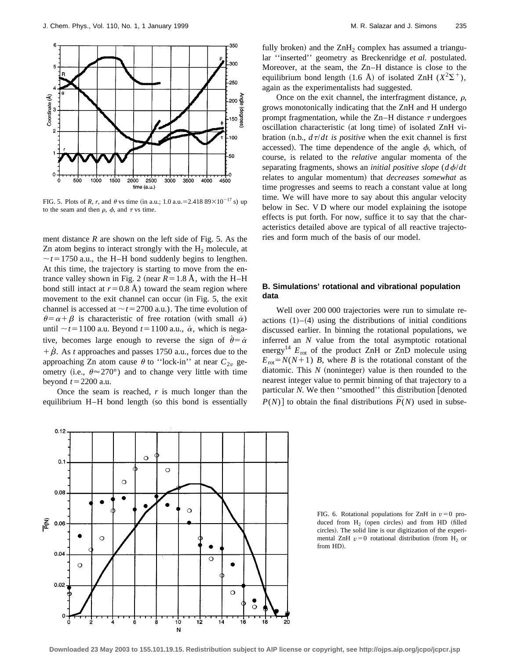

FIG. 5. Plots of *R, r*, and  $\theta$  vs time (in a.u.; 1.0 a.u. = 2.418 89×10<sup>-17</sup> s) up to the seam and then  $\rho$ ,  $\phi$ , and  $\tau$  vs time.

ment distance *R* are shown on the left side of Fig. 5. As the Zn atom begins to interact strongly with the  $H_2$  molecule, at  $\sim t$ =1750 a.u., the H–H bond suddenly begins to lengthen. At this time, the trajectory is starting to move from the entrance valley shown in Fig. 2 (near  $R=1.8$  Å, with the H–H bond still intact at  $r=0.8$  Å) toward the seam region where movement to the exit channel can occur (in Fig. 5, the exit channel is accessed at  $\sim t = 2700$  a.u.). The time evolution of  $\theta = \alpha + \beta$  is characteristic of free rotation (with small  $\dot{\alpha}$ ) until  $\sim t$ =1100 a.u. Beyond  $t$ =1100 a.u.,  $\dot{\alpha}$ , which is negative, becomes large enough to reverse the sign of  $\dot{\theta} = \dot{\alpha}$  $\dot{\beta}$ . As *t* approaches and passes 1750 a.u., forces due to the approaching Zn atom cause  $\theta$  to "lock-in" at near  $C_{2v}$  geometry (i.e.,  $\theta \approx 270^{\circ}$ ) and to change very little with time beyond  $t=2200$  a.u.

Once the seam is reached, *r* is much longer than the equilibrium H–H bond length (so this bond is essentially fully broken) and the  $ZnH<sub>2</sub>$  complex has assumed a triangular ''inserted'' geometry as Breckenridge *et al.* postulated. Moreover, at the seam, the Zn–H distance is close to the equilibrium bond length (1.6 Å) of isolated ZnH  $(X^2\Sigma^+)$ , again as the experimentalists had suggested.

Once on the exit channel, the interfragment distance,  $\rho$ , grows monotonically indicating that the ZnH and H undergo prompt fragmentation, while the Zn–H distance  $\tau$  undergoes oscillation characteristic (at long time) of isolated ZnH vibration  $(n.b., d\tau/dt)$  is *positive* when the exit channel is first accessed). The time dependence of the angle  $\phi$ , which, of course, is related to the *relative* angular momenta of the separating fragments, shows an *initial positive slope*  $(d\phi/dt)$ relates to angular momentum) that *decreases somewhat* as time progresses and seems to reach a constant value at long time. We will have more to say about this angular velocity below in Sec. V D where our model explaining the isotope effects is put forth. For now, suffice it to say that the characteristics detailed above are typical of all reactive trajectories and form much of the basis of our model.

# **B. Simulations' rotational and vibrational population data**

Well over 200 000 trajectories were run to simulate reactions  $(1)$ – $(4)$  using the distributions of initial conditions discussed earlier. In binning the rotational populations, we inferred an *N* value from the total asymptotic rotational energy<sup>14</sup>  $E_{\text{rot}}$  of the product ZnH or ZnD molecule using  $E_{\text{rot}} = N(N+1)$  *B*, where *B* is the rotational constant of the diatomic. This  $N$  (noninteger) value is then rounded to the nearest integer value to permit binning of that trajectory to a particular *N*. We then "smoothed" this distribution [denoted  $P(N)$  to obtain the final distributions  $\overline{P}(N)$  used in subse-

FIG. 6. Rotational populations for ZnH in  $v=0$  produced from  $H_2$  (open circles) and from HD (filled circles). The solid line is our digitization of the experimental ZnH  $v=0$  rotational distribution (from H<sub>2</sub> or from HD).

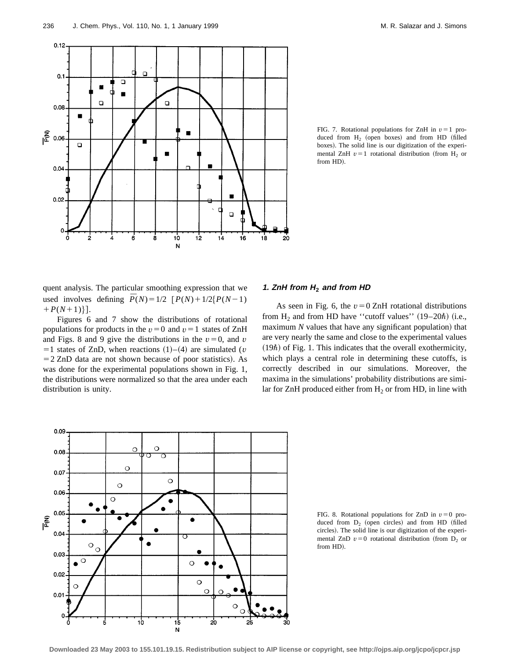

FIG. 7. Rotational populations for ZnH in  $v=1$  produced from  $H_2$  (open boxes) and from HD (filled boxes). The solid line is our digitization of the experimental ZnH  $v=1$  rotational distribution (from H<sub>2</sub> or from HD).

quent analysis. The particular smoothing expression that we used involves defining  $\overline{P}(N) = 1/2 \left[ P(N) + 1/2 \{ P(N-1) \} \right]$  $+P(N+1)\}.$ 

Figures 6 and 7 show the distributions of rotational populations for products in the  $v=0$  and  $v=1$  states of ZnH and Figs. 8 and 9 give the distributions in the  $v=0$ , and *v*  $=1$  states of ZnD, when reactions  $(1)$ – $(4)$  are simulated (*v*  $=$  2 ZnD data are not shown because of poor statistics). As was done for the experimental populations shown in Fig. 1, the distributions were normalized so that the area under each distribution is unity.

## **1. ZnH from <sup>H</sup><sup>2</sup> and from HD**

As seen in Fig. 6, the  $v=0$  ZnH rotational distributions from  $H_2$  and from HD have "cutoff values" (19–20 $\hbar$ ) (i.e., maximum  $N$  values that have any significant population) that are very nearly the same and close to the experimental values  $(19\hbar)$  of Fig. 1. This indicates that the overall exothermicity, which plays a central role in determining these cutoffs, is correctly described in our simulations. Moreover, the maxima in the simulations' probability distributions are similar for ZnH produced either from  $H_2$  or from HD, in line with



FIG. 8. Rotational populations for ZnD in  $v=0$  produced from  $D_2$  (open circles) and from HD (filled circles). The solid line is our digitization of the experimental ZnD  $v=0$  rotational distribution (from D<sub>2</sub> or from HD).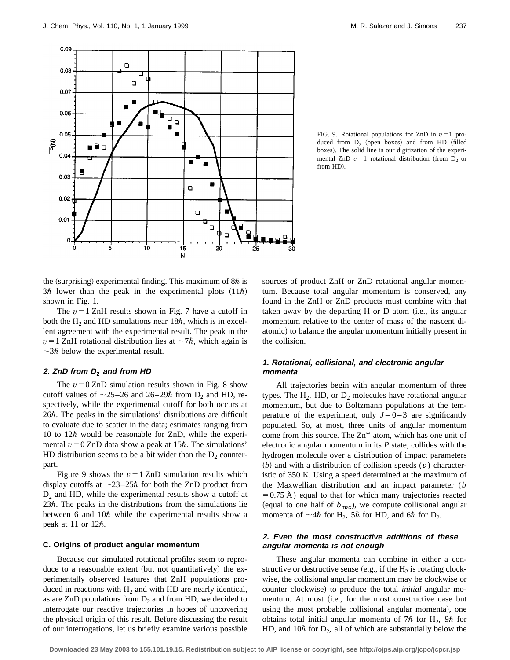

FIG. 9. Rotational populations for ZnD in  $v=1$  produced from  $D_2$  (open boxes) and from HD (filled boxes). The solid line is our digitization of the experimental ZnD  $v=1$  rotational distribution (from D<sub>2</sub> or from HD).

the (surprising) experimental finding. This maximum of  $8\hbar$  is  $3\hbar$  lower than the peak in the experimental plots  $(11\hbar)$ shown in Fig. 1.

The  $v = 1$  ZnH results shown in Fig. 7 have a cutoff in both the  $H_2$  and HD simulations near 18 $\hbar$ , which is in excellent agreement with the experimental result. The peak in the  $v=1$  ZnH rotational distribution lies at  $\sim$ 7 $\hbar$ , which again is  $\sim$ 3 $\hbar$  below the experimental result.

### **2. ZnD from <sup>D</sup><sup>2</sup> and from HD**

The  $v = 0$  ZnD simulation results shown in Fig. 8 show cutoff values of  $\sim$ 25–26 and 26–29 $\hbar$  from D<sub>2</sub> and HD, respectively, while the experimental cutoff for both occurs at  $26\hbar$ . The peaks in the simulations' distributions are difficult to evaluate due to scatter in the data; estimates ranging from 10 to 12 $\hbar$  would be reasonable for ZnD, while the experimental  $v = 0$  ZnD data show a peak at 15 $\hbar$ . The simulations' HD distribution seems to be a bit wider than the  $D_2$  counterpart.

Figure 9 shows the  $v=1$  ZnD simulation results which display cutoffs at  $\sim$ 23–25 $\hbar$  for both the ZnD product from  $D<sub>2</sub>$  and HD, while the experimental results show a cutoff at  $23\hbar$ . The peaks in the distributions from the simulations lie between 6 and  $10\hbar$  while the experimental results show a peak at 11 or  $12\hbar$ .

#### **C. Origins of product angular momentum**

Because our simulated rotational profiles seem to reproduce to a reasonable extent (but not quantitatively) the experimentally observed features that ZnH populations produced in reactions with  $H_2$  and with HD are nearly identical, as are ZnD populations from  $D_2$  and from HD, we decided to interrogate our reactive trajectories in hopes of uncovering the physical origin of this result. Before discussing the result of our interrogations, let us briefly examine various possible sources of product ZnH or ZnD rotational angular momentum. Because total angular momentum is conserved, any found in the ZnH or ZnD products must combine with that taken away by the departing  $H$  or  $D$  atom (i.e., its angular momentum relative to the center of mass of the nascent diatomic) to balance the angular momentum initially present in the collision.

# **1. Rotational, collisional, and electronic angular momenta**

All trajectories begin with angular momentum of three types. The  $H_2$ , HD, or  $D_2$  molecules have rotational angular momentum, but due to Boltzmann populations at the temperature of the experiment, only  $J=0-3$  are significantly populated. So, at most, three units of angular momentum come from this source. The Zn\* atom, which has one unit of electronic angular momentum in its *P* state, collides with the hydrogen molecule over a distribution of impact parameters  $(b)$  and with a distribution of collision speeds  $(v)$  characteristic of 350 K. Using a speed determined at the maximum of the Maxwellian distribution and an impact parameter (*b*  $=0.75$  Å) equal to that for which many trajectories reacted (equal to one half of  $b_{\text{max}}$ ), we compute collisional angular momenta of  $\sim$  4 $\hbar$  for H<sub>2</sub>, 5 $\hbar$  for HD, and 6 $\hbar$  for D<sub>2</sub>.

# **2. Even the most constructive additions of these angular momenta is not enough**

These angular momenta can combine in either a constructive or destructive sense (e.g., if the  $H_2$  is rotating clockwise, the collisional angular momentum may be clockwise or counter clockwise) to produce the total *initial* angular momentum. At most (i.e., for the most constructive case but using the most probable collisional angular momenta), one obtains total initial angular momenta of 7 $\hbar$  for H<sub>2</sub>, 9 $\hbar$  for HD, and 10 $\hbar$  for D<sub>2</sub>, all of which are substantially below the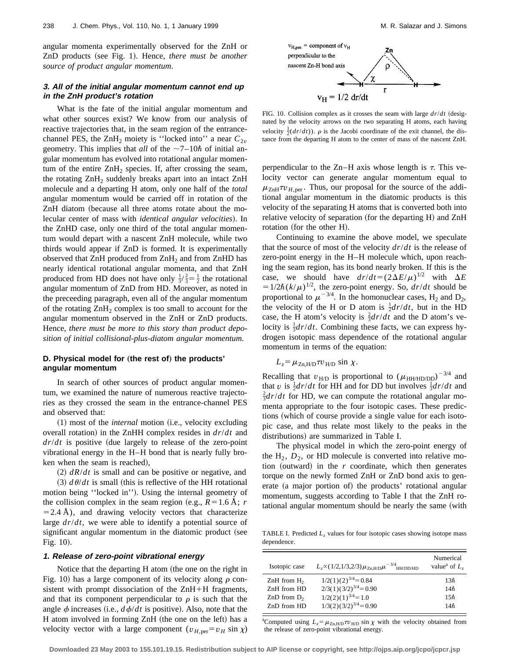angular momenta experimentally observed for the ZnH or ZnD products (see Fig. 1). Hence, *there must be another source of product angular momentum*.

# **3. All of the initial angular momentum cannot end up in the ZnH product's rotation**

What is the fate of the initial angular momentum and what other sources exist? We know from our analysis of reactive trajectories that, in the seam region of the entrancechannel PES, the ZnH<sub>2</sub> moiety is "locked into" a near  $C_{2v}$ geometry. This implies that *all* of the  $\sim$ 7–10 $\hbar$  of initial angular momentum has evolved into rotational angular momentum of the entire  $ZnH_2$  species. If, after crossing the seam, the rotating ZnH<sub>2</sub> suddenly breaks apart into an intact ZnH molecule and a departing H atom, only one half of the *total* angular momentum would be carried off in rotation of the ZnH diatom (because all three atoms rotate about the molecular center of mass with *identical angular velocities*). In the ZnHD case, only one third of the total angular momentum would depart with a nascent ZnH molecule, while two thirds would appear if ZnD is formed. It is experimentally observed that  $ZnH$  produced from  $ZnH<sub>2</sub>$  and from  $ZnHD$  has nearly identical rotational angular momenta, and that ZnH produced from HD does not have only  $\frac{1}{3}/\frac{2}{3} = \frac{1}{2}$  the rotational angular momentum of ZnD from HD. Moreover, as noted in the preceeding paragraph, even all of the angular momentum of the rotating  $ZnH_2$  complex is too small to account for the angular momentum observed in the ZnH or ZnD products. Hence, *there must be more to this story than product deposition of initial collisional-plus-diatom angular momentum*.

# **D. Physical model for (the rest of) the products' angular momentum**

In search of other sources of product angular momentum, we examined the nature of numerous reactive trajectories as they crossed the seam in the entrance-channel PES and observed that:

(1) most of the *internal* motion (i.e., velocity excluding overall rotation) in the ZnHH complex resides in  $dr/dt$  and  $dr/dt$  is positive (due largely to release of the zero-point vibrational energy in the H–H bond that is nearly fully broken when the seam is reached),

 $(2)$   $dR/dt$  is small and can be positive or negative, and  $(3)$   $d\theta/dt$  is small (this is reflective of the HH rotational motion being "locked in"). Using the internal geometry of the collision complex in the seam region (e.g.,  $R=1.6$  Å; *r*  $=$  2.4 Å), and drawing velocity vectors that characterize large *dr*/*dt*, we were able to identify a potential source of significant angular momentum in the diatomic product (see Fig.  $10$ ).

#### **1. Release of zero-point vibrational energy**

Notice that the departing  $H$  atom (the one on the right in Fig. 10) has a large component of its velocity along  $\rho$  consistent with prompt dissociation of the  $ZnH+H$  fragments, and that its component perpendicular to  $\rho$  is such that the angle  $\phi$  increases (i.e.,  $d\phi/dt$  is positive). Also, note that the H atom involved in forming ZnH (the one on the left) has a velocity vector with a large component  $(v_{H,per} = v_H \sin \chi)$ 



FIG. 10. Collision complex as it crosses the seam with large  $dr/dt$  (designated by the velocity arrows on the two separating H atoms, each having velocity  $\frac{1}{2}(dr/dt)$ ).  $\rho$  is the Jacobi coordinate of the exit channel, the distance from the departing H atom to the center of mass of the nascent ZnH.

perpendicular to the Zn–H axis whose length is  $\tau$ . This velocity vector can generate angular momentum equal to  $\mu_{\text{ZnH}}\tau v_{H,\text{per}}$ . Thus, our proposal for the source of the additional angular momentum in the diatomic products is this velocity of the separating H atoms that is converted both into relative velocity of separation (for the departing H) and ZnH rotation (for the other H).

Continuing to examine the above model, we speculate that the source of most of the velocity *dr*/*dt* is the release of zero-point energy in the H–H molecule which, upon reaching the seam region, has its bond nearly broken. If this is the case, we should have  $dr/dt = (2\Delta E/\mu)^{1/2}$  with  $\Delta E$  $=1/2\hbar (k/\mu)^{1/2}$ , the zero-point energy. So, *dr/dt* should be proportional to  $\mu^{-3/4}$ . In the homonuclear cases, H<sub>2</sub> and D<sub>2</sub>, the velocity of the H or D atom is  $\frac{1}{2}dr/dt$ , but in the HD case, the H atom's velocity is  $\frac{2}{3}dr/dt$  and the D atom's velocity is  $\frac{1}{3}dr/dt$ . Combining these facts, we can express hydrogen isotopic mass dependence of the rotational angular momentum in terms of the equation:

# $L_z = \mu_{\text{Zn.H/D}} \tau v_{\text{HD}} \sin \chi$ .

Recalling that  $v_{H/D}$  is proportional to  $(\mu_{HH/HD/DD})^{-3/4}$  and that *v* is  $\frac{1}{2}dr/dt$  for HH and for DD but involves  $\frac{1}{3}dr/dt$  and  $\frac{2}{3}dr/dt$  for HD, we gen compute the retational engular me.  $\frac{2}{3}dr/dt$  for HD, we can compute the rotational angular momenta appropriate to the four isotopic cases. These predictions (which of course provide a single value for each isotopic case, and thus relate most likely to the peaks in the distributions) are summarized in Table I.

The physical model in which the zero-point energy of the  $H_2$ ,  $D_2$ , or HD molecule is converted into relative motion (outward) in the  $r$  coordinate, which then generates torque on the newly formed ZnH or ZnD bond axis to generate (a major portion of) the products' rotational angular momentum, suggests according to Table I that the ZnH rotational angular momentum should be nearly the same (with

TABLE I. Predicted *L<sub>z</sub>* values for four isotopic cases showing isotope mass dependence.

| Isotopic case  | $L_z \propto (1/2, 1/3, 2/3) \mu_{\text{Zn,H/D}} \mu^{-3/4}$ HH/DD/HD | Numerical<br>value <sup>a</sup> of $L_z$ |
|----------------|-----------------------------------------------------------------------|------------------------------------------|
| ZnH from $H_2$ | $1/2(1)(2)^{3/4}=0.84$                                                | $13\hbar$                                |
| ZnH from HD    | $2/3(1)(3/2)^{3/4}=0.90$                                              | 14h                                      |
| ZnD from $D_2$ | $1/2(2)(1)^{3/4} = 1.0$                                               | $15\hbar$                                |
| ZnD from HD    | $1/3(2)(3/2)^{3/4}=0.90$                                              | 14h                                      |

<sup>a</sup>Computed using  $L_z = \mu_{\text{Zn},\text{HD}} \tau v_{\text{HD}} \sin \chi$  with the velocity obtained from the release of zero-point vibrational energy.

**Downloaded 23 May 2003 to 155.101.19.15. Redistribution subject to AIP license or copyright, see http://ojps.aip.org/jcpo/jcpcr.jsp**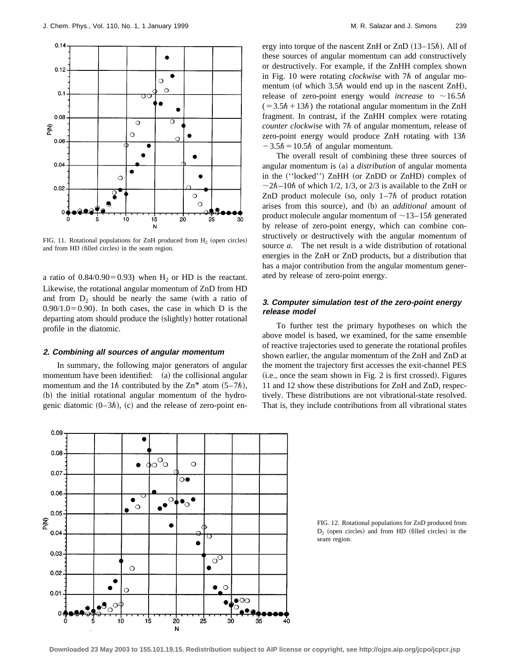

FIG. 11. Rotational populations for ZnH produced from  $H<sub>2</sub>$  (open circles) and from HD (filled circles) in the seam region.

a ratio of  $0.84/0.90=0.93$ ) when H<sub>2</sub> or HD is the reactant. Likewise, the rotational angular momentum of ZnD from HD and from  $D_2$  should be nearly the same (with a ratio of  $0.90/1.0=0.90$ . In both cases, the case in which D is the departing atom should produce the (slightly) hotter rotational profile in the diatomic.

#### **2. Combining all sources of angular momentum**

In summary, the following major generators of angular momentum have been identified:  $(a)$  the collisional angular momentum and the 1 $\hbar$  contributed by the Zn\* atom (5–7 $\hbar$ ), (b) the initial rotational angular momentum of the hydrogenic diatomic  $(0-3\hbar)$ , (c) and the release of zero-point energy into torque of the nascent ZnH or ZnD  $(13-15\hbar)$ . All of these sources of angular momentum can add constructively or destructively. For example, if the ZnHH complex shown in Fig. 10 were rotating *clockwise* with  $7\hbar$  of angular momentum (of which  $3.5\hbar$  would end up in the nascent ZnH), release of zero-point energy would *increase* to  $\sim$ 16.5 $\hbar$  $(=3.5\hbar+13\hbar)$  the rotational angular momentum in the ZnH fragment. In contrast, if the ZnHH complex were rotating *counter clockwise* with 7 $\hbar$  of angular momentum, release of zero-point energy would produce ZnH rotating with  $13\hbar$  $-3.5\hbar = 10.5\hbar$  of angular momentum.

The overall result of combining these three sources of angular momentum is (a) a *distribution* of angular momenta in the ("locked") ZnHH (or ZnDD or ZnHD) complex of  $\sim$ 2 $\hbar$ -10 $\hbar$  of which 1/2, 1/3, or 2/3 is available to the ZnH or ZnD product molecule (so, only  $1-7\hbar$  of product rotation arises from this source), and (b) an *additional* amount of product molecule angular momentum of  $\sim$ 13–15 $\hbar$  generated by release of zero-point energy, which can combine constructively or destructively with the angular momentum of source *a*. The net result is a wide distribution of rotational energies in the ZnH or ZnD products, but a distribution that has a major contribution from the angular momentum generated by release of zero-point energy.

# **3. Computer simulation test of the zero-point energy release model**

To further test the primary hypotheses on which the above model is based, we examined, for the same ensemble of reactive trajectories used to generate the rotational profiles shown earlier, the angular momentum of the ZnH and ZnD at the moment the trajectory first accesses the exit-channel PES  $(i.e., once the seem shown in Fig. 2 is first crossed). Figures$ 11 and 12 show these distributions for ZnH and ZnD, respectively. These distributions are not vibrational-state resolved. That is, they include contributions from all vibrational states



FIG. 12. Rotational populations for ZnD produced from  $D_2$  (open circles) and from HD (filled circles) in the seam region.